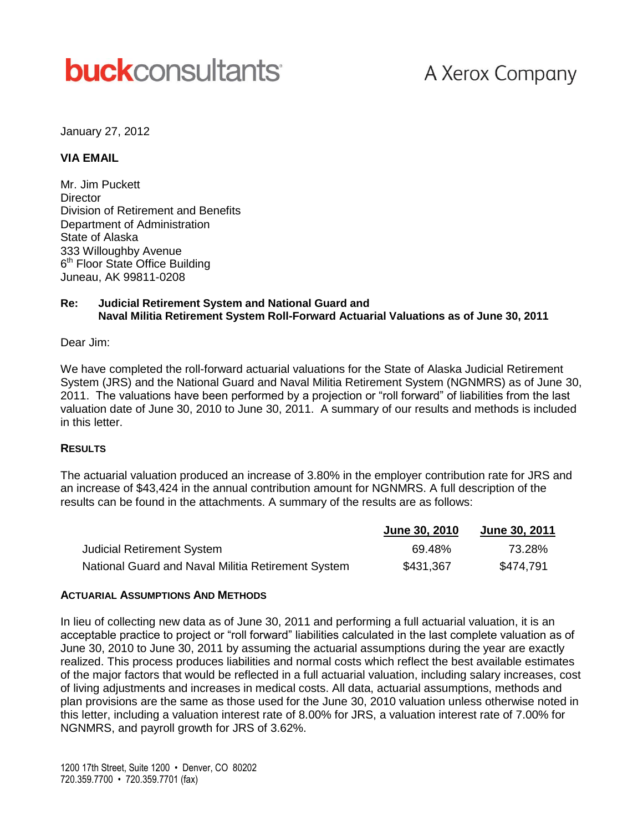# **buck**consultants

## A Xerox Company

January 27, 2012

#### **VIA EMAIL**

Mr. Jim Puckett **Director** Division of Retirement and Benefits Department of Administration State of Alaska 333 Willoughby Avenue 6<sup>th</sup> Floor State Office Building Juneau, AK 99811-0208

#### **Re: Judicial Retirement System and National Guard and Naval Militia Retirement System Roll-Forward Actuarial Valuations as of June 30, 2011**

Dear Jim:

We have completed the roll-forward actuarial valuations for the State of Alaska Judicial Retirement System (JRS) and the National Guard and Naval Militia Retirement System (NGNMRS) as of June 30, 2011. The valuations have been performed by a projection or "roll forward" of liabilities from the last valuation date of June 30, 2010 to June 30, 2011. A summary of our results and methods is included in this letter.

#### **RESULTS**

The actuarial valuation produced an increase of 3.80% in the employer contribution rate for JRS and an increase of \$43,424 in the annual contribution amount for NGNMRS. A full description of the results can be found in the attachments. A summary of the results are as follows:

|                                                    | June 30, 2010 | <b>June 30, 2011</b> |
|----------------------------------------------------|---------------|----------------------|
| <b>Judicial Retirement System</b>                  | 69.48%        | 73.28%               |
| National Guard and Naval Militia Retirement System | \$431,367     | \$474,791            |

#### **ACTUARIAL ASSUMPTIONS AND METHODS**

In lieu of collecting new data as of June 30, 2011 and performing a full actuarial valuation, it is an acceptable practice to project or "roll forward" liabilities calculated in the last complete valuation as of June 30, 2010 to June 30, 2011 by assuming the actuarial assumptions during the year are exactly realized. This process produces liabilities and normal costs which reflect the best available estimates of the major factors that would be reflected in a full actuarial valuation, including salary increases, cost of living adjustments and increases in medical costs. All data, actuarial assumptions, methods and plan provisions are the same as those used for the June 30, 2010 valuation unless otherwise noted in this letter, including a valuation interest rate of 8.00% for JRS, a valuation interest rate of 7.00% for NGNMRS, and payroll growth for JRS of 3.62%.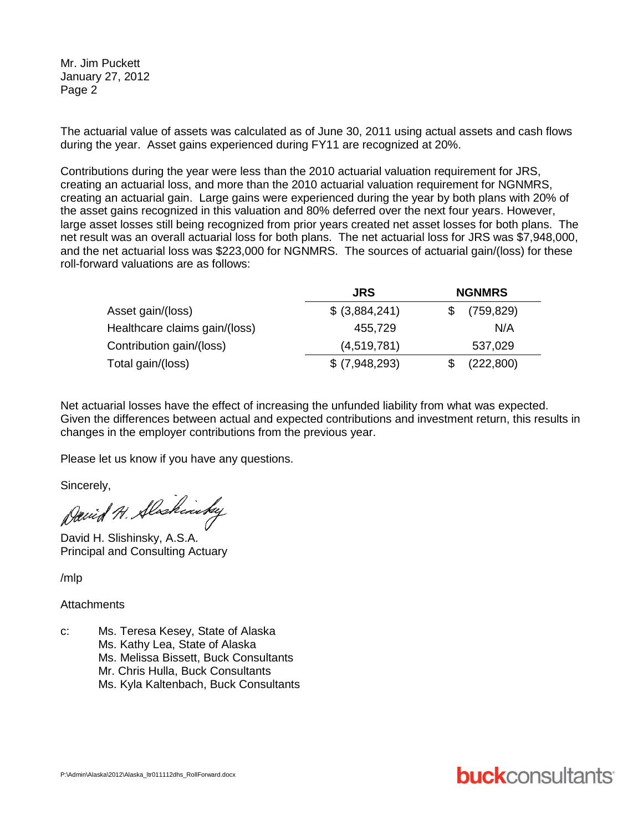Mr. Jim Puckett January 27, 2012 Page 2

The actuarial value of assets was calculated as of June 30, 2011 using actual assets and cash flows during the year. Asset gains experienced during FY11 are recognized at 20%.

Contributions during the year were less than the 2010 actuarial valuation requirement for JRS, creating an actuarial loss, and more than the 2010 actuarial valuation requirement for NGNMRS, creating an actuarial gain. Large gains were experienced during the year by both plans with 20% of the asset gains recognized in this valuation and 80% deferred over the next four years. However, large asset losses still being recognized from prior years created net asset losses for both plans. The net result was an overall actuarial loss for both plans. The net actuarial loss for JRS was \$7,948,000, and the net actuarial loss was \$223,000 for NGNMRS. The sources of actuarial gain/(loss) for these roll-forward valuations are as follows:

|                               | <b>JRS</b>      | <b>NGNMRS</b> |  |
|-------------------------------|-----------------|---------------|--|
| Asset gain/(loss)             | \$ (3,884,241)  | (759, 829)    |  |
| Healthcare claims gain/(loss) | 455,729         | N/A           |  |
| Contribution gain/(loss)      | (4,519,781)     | 537,029       |  |
| Total gain/(loss)             | $$$ (7,948,293) | (222, 800)    |  |

Net actuarial losses have the effect of increasing the unfunded liability from what was expected. Given the differences between actual and expected contributions and investment return, this results in changes in the employer contributions from the previous year.

Please let us know if you have any questions.

Sincerely,

David H. Alaskinsky

David H. Slishinsky, A.S.A. Principal and Consulting Actuary

/mlp

**Attachments** 

- c: Ms. Teresa Kesey, State of Alaska
	- Ms. Kathy Lea, State of Alaska
	- Ms. Melissa Bissett, Buck Consultants
	- Mr. Chris Hulla, Buck Consultants
	- Ms. Kyla Kaltenbach, Buck Consultants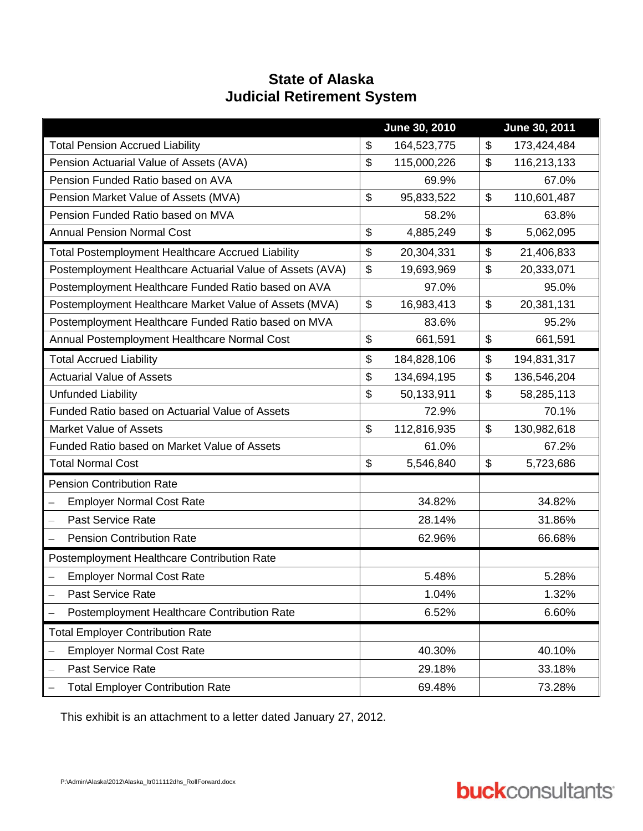### **State of Alaska Judicial Retirement System**

|                                                              |                | June 30, 2010 |                           | June 30, 2011 |
|--------------------------------------------------------------|----------------|---------------|---------------------------|---------------|
| <b>Total Pension Accrued Liability</b>                       | \$             | 164,523,775   | \$                        | 173,424,484   |
| Pension Actuarial Value of Assets (AVA)                      | \$             | 115,000,226   | $\mathfrak{S}$            | 116,213,133   |
| Pension Funded Ratio based on AVA                            |                | 69.9%         |                           | 67.0%         |
| Pension Market Value of Assets (MVA)                         | \$             | 95,833,522    | $\mathcal{L}$             | 110,601,487   |
| Pension Funded Ratio based on MVA                            |                | 58.2%         |                           | 63.8%         |
| <b>Annual Pension Normal Cost</b>                            | \$             | 4,885,249     | \$                        | 5,062,095     |
| Total Postemployment Healthcare Accrued Liability            | \$             | 20,304,331    | \$                        | 21,406,833    |
| Postemployment Healthcare Actuarial Value of Assets (AVA)    | \$             | 19,693,969    | $\boldsymbol{\mathsf{S}}$ | 20,333,071    |
| Postemployment Healthcare Funded Ratio based on AVA          |                | 97.0%         |                           | 95.0%         |
| Postemployment Healthcare Market Value of Assets (MVA)       | $\mathfrak{S}$ | 16,983,413    | \$                        | 20,381,131    |
| Postemployment Healthcare Funded Ratio based on MVA          |                | 83.6%         |                           | 95.2%         |
| Annual Postemployment Healthcare Normal Cost                 | \$             | 661,591       | $\$\$                     | 661,591       |
| <b>Total Accrued Liability</b>                               | \$             | 184,828,106   | \$                        | 194,831,317   |
| <b>Actuarial Value of Assets</b>                             | \$             | 134,694,195   | $\boldsymbol{\mathsf{S}}$ | 136,546,204   |
| <b>Unfunded Liability</b>                                    | \$             | 50,133,911    | $\boldsymbol{\mathsf{S}}$ | 58,285,113    |
| Funded Ratio based on Actuarial Value of Assets              |                | 72.9%         |                           | 70.1%         |
| <b>Market Value of Assets</b>                                | \$             | 112,816,935   | $\mathcal{L}$             | 130,982,618   |
| Funded Ratio based on Market Value of Assets                 |                | 61.0%         |                           | 67.2%         |
| <b>Total Normal Cost</b>                                     | \$             | 5,546,840     | \$                        | 5,723,686     |
| <b>Pension Contribution Rate</b>                             |                |               |                           |               |
| <b>Employer Normal Cost Rate</b><br>$\qquad \qquad -$        |                | 34.82%        |                           | 34.82%        |
| <b>Past Service Rate</b><br>$\qquad \qquad -$                |                | 28.14%        |                           | 31.86%        |
| <b>Pension Contribution Rate</b><br>$\overline{\phantom{0}}$ |                | 62.96%        |                           | 66.68%        |
| Postemployment Healthcare Contribution Rate                  |                |               |                           |               |
| <b>Employer Normal Cost Rate</b>                             |                | 5.48%         |                           | 5.28%         |
| Past Service Rate                                            |                | 1.04%         |                           | 1.32%         |
| Postemployment Healthcare Contribution Rate                  |                | 6.52%         |                           | 6.60%         |
| <b>Total Employer Contribution Rate</b>                      |                |               |                           |               |
| <b>Employer Normal Cost Rate</b>                             |                | 40.30%        |                           | 40.10%        |
| Past Service Rate<br>$\overline{\phantom{0}}$                |                | 29.18%        |                           | 33.18%        |
| <b>Total Employer Contribution Rate</b>                      |                | 69.48%        |                           | 73.28%        |

This exhibit is an attachment to a letter dated January 27, 2012.

# **buck**consultants